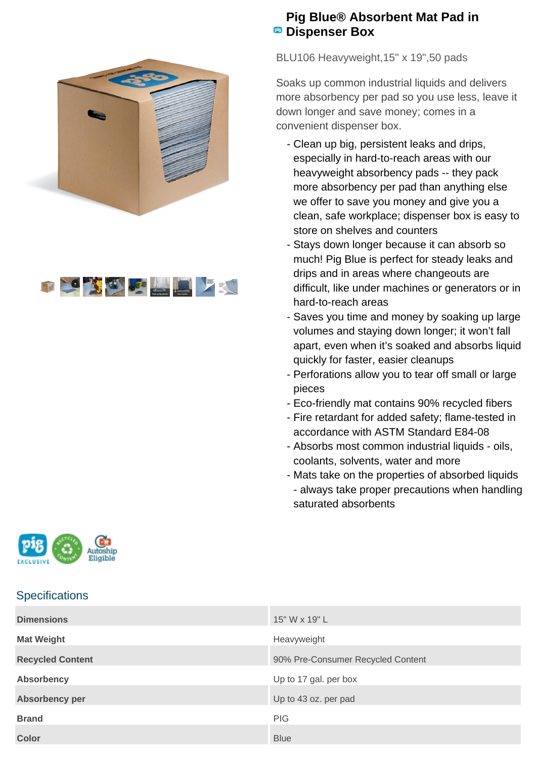



## **Pig Blue® Absorbent Mat Pad in PB** Dispenser Box

BLU106 Heavyweight,15" x 19",50 pads

Soaks up common industrial liquids and delivers more absorbency per pad so you use less, leave it down longer and save money; comes in a convenient dispenser box.

- Clean up big, persistent leaks and drips, especially in hard-to-reach areas with our heavyweight absorbency pads -- they pack more absorbency per pad than anything else we offer to save you money and give you a clean, safe workplace; dispenser box is easy to store on shelves and counters
- Stays down longer because it can absorb so much! Pig Blue is perfect for steady leaks and drips and in areas where changeouts are difficult, like under machines or generators or in hard-to-reach areas
- Saves you time and money by soaking up large volumes and staying down longer; it won't fall apart, even when it's soaked and absorbs liquid quickly for faster, easier cleanups
- Perforations allow you to tear off small or large pieces
- Eco-friendly mat contains 90% recycled fibers
- Fire retardant for added safety; flame-tested in accordance with ASTM Standard E84-08
- Absorbs most common industrial liquids oils, coolants, solvents, water and more
- Mats take on the properties of absorbed liquids - always take proper precautions when handling saturated absorbents



## **Specifications**

| <b>Dimensions</b>       | 15" W x 19" L                     |
|-------------------------|-----------------------------------|
| <b>Mat Weight</b>       | Heavyweight                       |
| <b>Recycled Content</b> | 90% Pre-Consumer Recycled Content |
| <b>Absorbency</b>       | Up to 17 gal. per box             |
| Absorbency per          | Up to 43 oz. per pad              |
| <b>Brand</b>            | <b>PIG</b>                        |
| <b>Color</b>            | <b>Blue</b>                       |